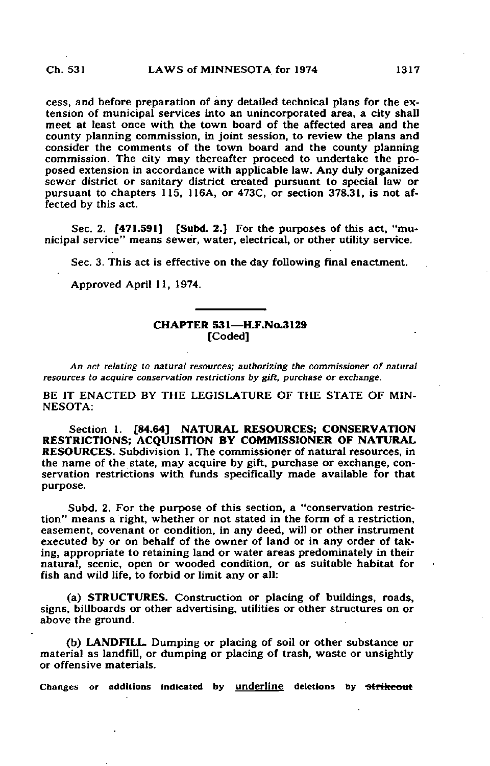cess, and before preparation of any detailed technical plans for the extension of municipal services into an unincorporated area, a city shall meet at least once with the town board of the affected area and the county planning commission, in joint session, to review the plans and consider the comments of the town board and the county planning commission. The city may thereafter proceed to undertake the proposed extension in accordance with applicable law. Any duly organized sewer district or sanitary district created pursuant to special law or pursuant to chapters 115, 116A, or 473C, or section 378.31, is not affected by this act.

Sec. 2. [471.591] [Subd. 2.] For the purposes of this act, "municipal service" means sewer, water, electrical, or other utility service.

Sec. 3. This act is effective on the day following final enactment.

Approved April 11, 1974.

## CHAPTER 531—H.F.No.3129 [Coded]

An act relating to natural resources; authorizing the commissioner of natural resources to acquire conservation restrictions by gift, purchase or exchange.

BE IT ENACTED BY THE LEGISLATURE OF THE STATE OF MIN-NESOTA:

Section 1. [84.64] NATURAL RESOURCES; CONSERVATION RESTRICTIONS; ACQUISITION BY COMMISSIONER OF NATURAL RESOURCES. Subdivision 1. The commissioner of natural resources, in the name of the state, may acquire by gift, purchase or exchange, conservation restrictions with funds specifically made available for that purpose.

Subd. 2. For the purpose of this section, a "conservation restriction" means a right, whether or not stated in the form of a restriction, easement, covenant or condition, in any deed, will or other instrument executed by or on behalf of the owner of land or in any order of taking, appropriate to retaining land or water areas predominately in their natural, scenic, open or wooded condition, or as suitable habitat for fish and wild life, to forbid or limit any or all:

(a) STRUCTURES. Construction or placing of buildings, roads, signs, billboards or other advertising, utilities or other structures on or above the ground.

(b) LANDFILL. Dumping or placing of soil or other substance or material as landfill, or dumping or placing of trash, waste or unsightly or offensive materials.

Changes or additions indicated by underline deletions by strikeout